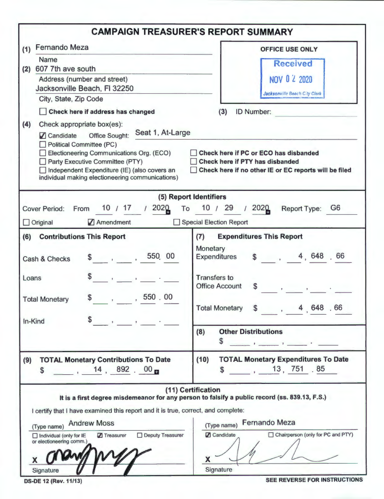|                                                                                                                                                                                                                                                                                                                                                                                                                                      | <b>CAMPAIGN TREASURER'S REPORT SUMMARY</b>                                                                                                                                                                                                         |
|--------------------------------------------------------------------------------------------------------------------------------------------------------------------------------------------------------------------------------------------------------------------------------------------------------------------------------------------------------------------------------------------------------------------------------------|----------------------------------------------------------------------------------------------------------------------------------------------------------------------------------------------------------------------------------------------------|
| <b>Fernando Meza</b><br>(1)                                                                                                                                                                                                                                                                                                                                                                                                          | <b>OFFICE USE ONLY</b>                                                                                                                                                                                                                             |
| Name                                                                                                                                                                                                                                                                                                                                                                                                                                 | <b>Received</b>                                                                                                                                                                                                                                    |
| 607 7th ave south<br>(2)                                                                                                                                                                                                                                                                                                                                                                                                             |                                                                                                                                                                                                                                                    |
| Address (number and street)<br>Jacksonville Beach, FI 32250                                                                                                                                                                                                                                                                                                                                                                          | NOV 0 2 2020                                                                                                                                                                                                                                       |
| City, State, Zip Code                                                                                                                                                                                                                                                                                                                                                                                                                | Jacksonville Beach City Clerk                                                                                                                                                                                                                      |
| Check here if address has changed                                                                                                                                                                                                                                                                                                                                                                                                    | <b>ID Number:</b><br>(3)                                                                                                                                                                                                                           |
| (4)<br>Check appropriate box(es):                                                                                                                                                                                                                                                                                                                                                                                                    |                                                                                                                                                                                                                                                    |
| Seat 1, At-Large<br>Candidate Office Sought:<br><b>Political Committee (PC)</b><br>Electioneering Communications Org. (ECO)<br>Party Executive Committee (PTY)<br>Independent Expenditure (IE) (also covers an<br>individual making electioneering communications)                                                                                                                                                                   | Check here if PC or ECO has disbanded<br>Check here if PTY has disbanded<br>Check here if no other IE or EC reports will be filed                                                                                                                  |
|                                                                                                                                                                                                                                                                                                                                                                                                                                      | (5) Report Identifiers                                                                                                                                                                                                                             |
| 10 / 17 / 2020<br><b>Cover Period:</b><br>From                                                                                                                                                                                                                                                                                                                                                                                       | 10 / 29 / 2020<br>Report Type: G6<br>To                                                                                                                                                                                                            |
| Amendment<br>$\Box$ Original                                                                                                                                                                                                                                                                                                                                                                                                         | Special Election Report                                                                                                                                                                                                                            |
| (6)<br><b>Contributions This Report</b><br>550 00<br>$\sim$ 5 $\sim$ 5 $\sim$ 5 $\sim$ 5 $\sim$ 5 $\sim$ 5 $\sim$ 5 $\sim$ 5 $\sim$ 5 $\sim$ 5 $\sim$ 5 $\sim$ 5 $\sim$ 5 $\sim$ 5 $\sim$ 5 $\sim$ 5 $\sim$ 5 $\sim$ 5 $\sim$ 5 $\sim$ 5 $\sim$ 5 $\sim$ 5 $\sim$ 5 $\sim$ 5 $\sim$ 5 $\sim$ 5 $\sim$ 5 $\sim$ 5 $\sim$ 5 $\sim$ 5 $\sim$ 5 $\sim$<br>Cash & Checks<br>Loans<br>$\mathbf{r} = \mathbf{r} + \mathbf{r}$<br>, 550 . 00 | (7)<br><b>Expenditures This Report</b><br>Monetary<br>\$ 4, 648.66<br><b>Expenditures</b><br><b>Transfers to</b><br><b>Office Account</b><br><b>S</b><br>$\mathbf{y} = \mathbf{y}$ , and $\mathbf{y} = \mathbf{y}$ , and $\mathbf{y} = \mathbf{y}$ |
| \$<br><b>Total Monetary</b><br>In-Kind                                                                                                                                                                                                                                                                                                                                                                                               | , 4.648.66<br>$\mathbf s$<br><b>Total Monetary</b><br><b>Other Distributions</b><br>(8)                                                                                                                                                            |
|                                                                                                                                                                                                                                                                                                                                                                                                                                      | \$                                                                                                                                                                                                                                                 |
| <b>TOTAL Monetary Contributions To Date</b><br>(9)<br>14, 892, 00<br>$\mathbf{s}$                                                                                                                                                                                                                                                                                                                                                    | <b>TOTAL Monetary Expenditures To Date</b><br>(10)<br>13, 751.85<br><b>S</b>                                                                                                                                                                       |
| I certify that I have examined this report and it is true, correct, and complete:<br><b>Andrew Moss</b><br>(Type name)<br>Deputy Treasurer<br>$\Box$ Individual (only for IE<br><b>7</b> Treasurer<br>or electioneering comm.)<br>X.                                                                                                                                                                                                 | (11) Certification<br>It is a first degree misdemeanor for any person to falsify a public record (ss. 839.13, F.S.)<br><b>Fernando Meza</b><br>(Type name)<br>□ Chairperson (only for PC and PTY)<br><b>Z</b> Candidate<br>X                       |

**OS-DE 12 (Rev. 11/13)** SEE REVERSE FOR INSTRUCTIONS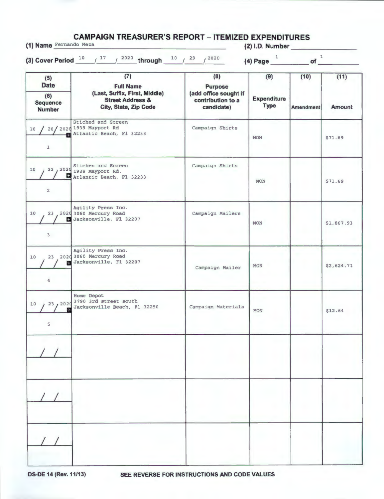**CAMPAIGN TREASURER'S REPORT - ITEMIZED EXPENDITURES (1) Name** Fernando Meza **(2) 1.0. Number \_\_\_\_\_\_\_ \_** 

| (5)                                             | (7)                                                                                                       | (8)                                                                        | (9)                               | (10)             | (11)          |
|-------------------------------------------------|-----------------------------------------------------------------------------------------------------------|----------------------------------------------------------------------------|-----------------------------------|------------------|---------------|
| <b>Date</b><br>(6)<br>Sequence<br><b>Number</b> | <b>Full Name</b><br>(Last, Suffix, First, Middle)<br><b>Street Address &amp;</b><br>City, State, Zip Code | <b>Purpose</b><br>(add office sought if<br>contribution to a<br>candidate) | <b>Expenditure</b><br><b>Type</b> | <b>Amendment</b> | <b>Amount</b> |
| 10/<br>$\mathbf{1}$                             | Stiched and Screen<br>20/ 2020 1939 Mayport Rd<br>Atlantic Beach, Fl 32233                                | Campaign Shirts                                                            | <b>MON</b>                        |                  | \$71.69       |
| 10<br>$\overline{a}$                            | Stiches and Screen<br>22, 2020 1939 Mayport Rd.<br>Atlantic Beach, Fl 32233                               | Campaign Shirts                                                            | <b>MON</b>                        |                  | \$71.69       |
| 10 <sub>1</sub><br>3                            | Agility Press Inc.<br>23 2020 3060 Mercury Road<br>Jacksonville, Fl 32207                                 | Campaign Mailers                                                           | <b>MON</b>                        |                  | \$1,867.93    |
| 10<br>雷<br>4                                    | Agility Press Inc.<br>23 2020 3060 Mercury Road<br>Jacksonville, Fl 32207                                 | Campaign Mailer                                                            | <b>MON</b>                        |                  | \$2,624.71    |
| 23, 2020<br>10<br>5                             | Home Depot<br>3790 3rd street south<br>Jacksonville Beach, Fl 32250                                       | Campaign Materials                                                         | <b>MON</b>                        |                  | \$12.64       |
|                                                 |                                                                                                           |                                                                            |                                   |                  |               |
|                                                 |                                                                                                           |                                                                            |                                   |                  |               |
|                                                 |                                                                                                           |                                                                            |                                   |                  |               |

ı

**OS-DE 14 (Rev. 11/13) SEE REVERSE FOR INSTRUCTIONS AND CODE VALUES**